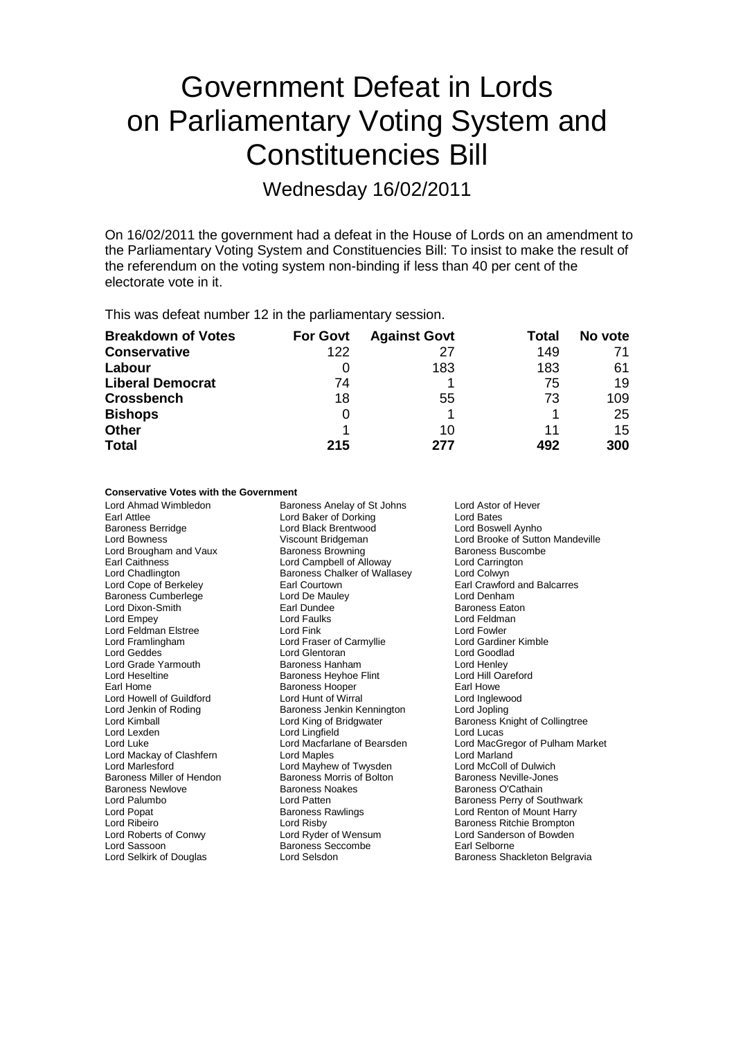# Government Defeat in Lords on Parliamentary Voting System and Constituencies Bill

Wednesday 16/02/2011

On 16/02/2011 the government had a defeat in the House of Lords on an amendment to the Parliamentary Voting System and Constituencies Bill: To insist to make the result of the referendum on the voting system non-binding if less than 40 per cent of the electorate vote in it.

This was defeat number 12 in the parliamentary session.

| <b>Breakdown of Votes</b> | <b>For Govt</b> | <b>Against Govt</b> | Total | No vote |
|---------------------------|-----------------|---------------------|-------|---------|
| <b>Conservative</b>       | 122             | 27                  | 149   | 71      |
| Labour                    |                 | 183                 | 183   | 61      |
| <b>Liberal Democrat</b>   | 74              |                     | 75    | 19      |
| <b>Crossbench</b>         | 18              | 55                  | 73    | 109     |
| <b>Bishops</b>            | 0               |                     |       | 25      |
| <b>Other</b>              |                 | 10                  | 11    | 15      |
| <b>Total</b>              | 215             | 277                 | 492   | 300     |

## **Conservative Votes with the Government**

Earl Attlee<br>
Earl Attlee Early Cord Baker of Dorking<br>
Lord Boswell Aynho<br>
Lord Boswell Aynho Baroness Berridge **Lord Black Brentwood**<br>
Lord Bowness<br>
Viscount Bridgeman Lord Brougham and Vaux Baroness Browning Baroness Buscombell of Alloway Baroness Buscombell of Alloway Baroness Buscombell of Alloway Earl Caithness **Lord Campbell of Alloway** Lord Carrington Lord Chadlington **Lord Chadlington** Baroness Chalker of Wallasey Lord Colwyn Lord Chadlington Baroness Chalker of Wallasey<br>
Lord Cope of Berkeley<br>
Earl Courtown Baroness Cumberlege Lord De Mauley Lord Denham Lord Dixon-Smith **Earl Dundee** Earl Dundee **Baroness Eaton**<br>
Lord Empey **Earl Dundee** Earl Dundee Earl Dundee Earl Dundee Earl Dundee Earl Dundee Earl Dundee Earl Dundee<br>
Lord Empey Lord Feldman Elstree **Lord Fink** Lord Fowler Lord Fowler<br>
Lord Framlingham **Lord France Lord France Lord Carmyllie** Lord Gardiner Kimble Lord Framlingham Lord Fraser of Carmyllie Lord Geddes **Lord Clentoran** Lord General Lord Goodlad Lord Goodlad Lord Grade Yarmouth Baroness Hanham Lord Henley Lord Heseltine **Baroness Heyhoe Flint** Earl Home **Baroness Hooper** Farl Howe **Earl Howe**<br>
Lord Howell of Guildford **Earl Earl Earl Earl Howe** Lord Inglewood Lord Howell of Guildford Lord Hunt of Wirral Cord Hunt of Wirral Lord Inglewood Lord Inglewood Lord Jopling<br>
Lord Jenkin of Roding Cord Christian Baroness Jenkin Kennington Lord Jopling Lord Jenkin of Roding **Baroness Jenkin Kennington**<br>Lord Kimball Lord King of Bridgwater Lord Lexden Lord Lingfield Lord Lucas Lord Mackay of Clashfern Lord Maples Lord Marland Lord Marlesford **Lord Mayhew of Twysden** Lord McColl of Dulwich<br>
Baroness Miller of Hendon **Baroness Morris of Bolton** Baroness Neville-Jones Baroness Miller of Hendon Baroness Morris of Baroness Newlove<br>Baroness Newlove Baroness Noakes Baroness Newlove **Baroness Noakes** Baroness O'Cathain<br> **Baroness O'Cathain**<br> **Baroness Perry of S**<br> **Baroness Perry of S** Lord Palumbo Lord Patten Baroness Perry of Southwark Lord Popat **Baroness Rawlings** Cord Renton of Mount Harry<br>
Lord Ribeiro **Baroness Lord Risby** Cord Risby **Baroness Ritchie Brompton** Lord Ribeiro **Community Community** Lord Risby **Baroness Ritchie Brompton**<br>
Lord Roberts of Conwy **Baroness Ritchie Brompton**<br>
Lord Roberts of Conwy **Baroness Ritchie Brompton** 

Lord Ahmad Wimbledon Baroness Anelay of St Johns Lord Astor of Hever Earl Courtown **Earl Crawford and Balcarres**<br>
Lord De Maulev **Earl Crawford and Balcarres** Lord Faulks **Lord Feldman**<br>
Lord Fink **Lord Fowler** Lord King of Bridgwater **Baroness Knight of Collingtree** Lord Sassoon **Baroness Seccombe** Earl Selborne<br>
Lord Selsaon **Earl Selborne**<br>
Lord Selsaon **Baroness Sha** 

Lord Bowness Viscount Bridgeman Lord Brooke of Sutton Mandeville Lord Macfarlane of Bearsden Lord MacGregor of Pulham Market<br>
Lord Manles<br>
Lord Marland Lord Sanderson of Bowden Lord Selsdon **Baroness** Shackleton Belgravia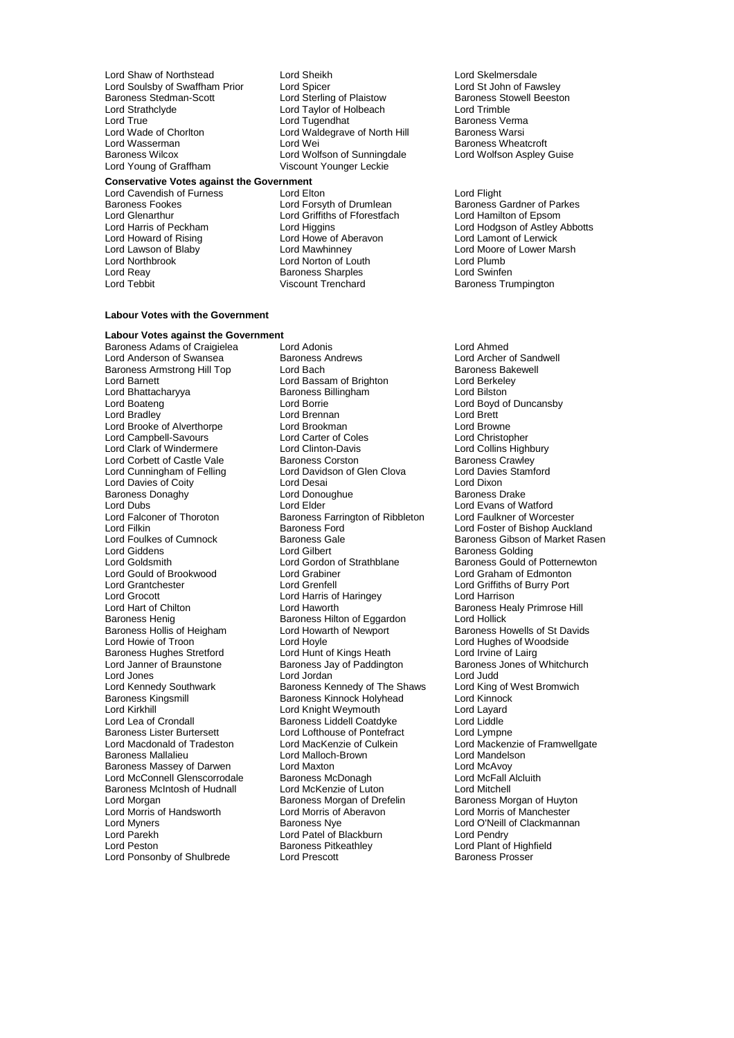Lord Shaw of Northstead **Lord Sheikh Lord Sheikh Lord Stelmersdale**<br>
Lord Soulsby of Swaffham Prior Lord Spicer **Lord Steller Lord St John of Fawsley** Lord Soulsby of Swaffham Prior Lord Spicer<br>
Lord Statement Cond Sterling of Plaistow Baroness Stowell Beeston<br>
Lord Sterling of Plaistow Baroness Stowell Beeston Lord Strathclyde Lord Taylor of Holbeach Lord Trimble<br>
Lord Taylor of Holbeach Lord Trimble<br>
Lord Tugendhat Baroness Ve Lord True Lord Tugendhat Network Charoness Verma<br>Lord Walded Lord Waldegrave of North Hill Baroness Warsi Lord Wade of Chorlton Lord Waldegrave of North Hill<br>
Lord Wasserman Lord Wei Baroness Wilcox **Lord Wolfson of Sunningdale** Lord Young of Graffham Viscount Younger Leckie

**Conservative Votes against the Government** Lord Cavendish of Furness Lord Elton<br>
Lord Cavendish of Furness<br>
Lord Forsyth of Drumlean<br>
Baroness C Baroness Fookes **Lord Forsyth of Drumlean** Baroness Gardner of Parkes<br>
Lord Glenarthur **Baroness Constant Constant Constant Constant Constant Constant Lord Hamilton of Epsom** Lord Glenarthur Lord Griffiths of Fforestfach<br>
Lord Harris of Peckham<br>
Lord Higgins Lord Howard of Rising Lord Howe of Aberavon<br>
Lord Lawson of Blaby Lord Mawhinney Lord Lawson of Blaby Lord Mawhinney Lord Moore of Lower Marsh Lord Reay Baroness Sharples Lord Swinfen

## **Labour Votes with the Government**

**Labour Votes against the Government** Baroness Adams of Craigielea Lord Adonis Lord Ahmed Lord Anderson of Swansea Baroness Andrews Lord Archer of Sancherson of Sancher of Sancher of Sancher Corp. Lord Bach<br>Baroness Armstrong Hill Top Lord Bach Baroness Armstrong Hill Top Lord Bach Baroness Bakewell Baroness Bakewell Baroness Bakewell Baroness Bakewell<br>
Lord Barnett Lord Bassam of Brighton Lord Berkeley Lord Barnett **Lord Bassam of Brighton** Lord Berkele<br>
Lord Bhattacharyya Baroness Billingham Lord Bilston Lord Bhattacharyya Baroness Billingham<br>
Lord Boateng<br>
Lord Borrie Lord Bradley Lord Brennan Lord Brett Lord Brooke of Alverthorpe Lord Brookman and Lord Brookman Lord Brookman Lord Browne<br>
Lord Campbell-Savours Lord Carter of Coles Lord Christopher Lord Campbell-Savours<br>
Lord Clark of Windermere<br>
Lord Clinton-Davis Lord Corbett of Castle Vale Baroness Corston Baroness Crawley<br>
Lord Cunningham of Felling Lord Davidson of Glen Clova Lord Davies Stamford Lord Cunningham of Felling Lord Davidson of Glen Clova Lord Davies<br>Lord Davies of Coity Lord Desai Lord Desai Lord Dixon Lord Davies of Coity<br>
Baroness Donaghy<br>
Lord Donoughue<br>
Lord Donoughue<br>
Baroness Drake Baroness Donaghy **Lord Donoughy** Lord Donoughue Baroness Donaghy **Baroness Lord Elder** Lord Dubs<br>
Lord Elder Lord Evans of Watford<br>
Lord Ealconer of Thoroton Baroness Farrington of Ribbleton Lord Faulkner of Worcester Lord Falconer of Thoroton Baroness Farrington of Ribbleton<br>Lord Filkin Baroness Ford Lord Filkin Baroness Ford The Lord Foster of Bishop Auckland<br>Lord Foulkes of Cumnock Baroness Gale The Baroness Gibson of Market Ras Lord Giddens **Lord Gilbert** Baroness Golding Lord Goldsmith **Lord Gordon of Strathblane** Baroness Gould of Potternewton Lord Gould of Brookwood Lord Grabiner Lord Graham of Edmonton Lord Grantchester Lord Grenfell Lord Griffiths of Burry Port Lord Grocott<br>
Lord Harrison<br>
Lord Haworth<br>
Lord Haworth Lord Hart of Chilton Lord Haworth Baroness Healy Primrose Hill<br>Baroness Henig Baroness Hilton of Eggardon Lord Hollick Baroness Henig<br>Baroness Hollis of Heigham Lord Howarth of Newport Baroness Hollis of Heigham Lord Howarth of Newport Baroness Howells of St Davids<br>
Lord Howie of Troon Lord Hoyle Cord Hovels Cord Hughes of Woodside Baroness Hughes Stretford Lord Hunt of Kings Heath<br>
Lord Janner of Braunstone Baroness Jay of Paddington Lord Janner of Braunstone **Baroness Jay of Paddington** Baroness Jones of Whitchurch<br>Lord Jones **Barones Lord Jordan** Baroness Jay of Paddington **Baroness Jones of Whitchurch** Lord Jones **Lord Jones** Lord Jordan **Lord Julies Corporation**<br>
Lord Kennedy Southwark **Lord King of West Bromwich**<br>
Lord King of West Bromwich Lord Kennedy Southwark Baroness Kennedy of The Shaws Lord King of V<br>Baroness King Baroness Kinnock Holyhead Lord Kinnock Baroness Kingsmill **Baroness Kinnock Holyhead** Lord Kinnock Lord Cord Cord Cord Cord Lord Lavard<br>
Lord Kirkhill **Cord Lord Cord Cord Cord Cord Cord Lavard** Lord Kirkhill Corresponding Lord Knight Weymouth Corresponding Lord Layard<br>
Lord Lea of Crondall Corresponding Baroness Liddell Coatdyke Lord Liddle Baroness Lister Burtersett Lord Lord Lofthouse of Pontefract Lord Lympne<br>
Lord Macdonald of Tradeston Lord MacKenzie of Culkein Lord Mackenz Lord Macdonald of Tradeston Lord MacKenzie of Culkein Lord Mackenzie of Framwellgate<br>Baroness Mallalieu Lord Malloch-Brown Lord Mandelson Baroness Massey of Darwen Lord Maxton Lord Maxton Lord McAvoy<br>Lord McAvoy Lord McAvoy Lord McAvoy Lord McAvoy Lord McConnell Glenscorrodale and Baroness McDonagh and Lord McFall Alcluithell<br>Baroness McIntosh of Hudnall and Lord McKenzie of Luton and Lord Mitchell Baroness McIntosh of Hudnall Lord McKenzie of Luton<br>
Lord Morgan brefelin<br>
Baroness Morgan of Drefelin Lord Morgan by Taroness Morgan of Drefelin<br>
Lord Morris of Handsworth Lord Morris of Aberavon<br>
Lord Morris of Manchester Lord Morris of Handsworth Lord Morris of Aberavon Lord Morris of Manchester Lord Myners **Baroness Nye** Baroness Nye Lord O'Neill of Clackmannan<br>
Lord Parekh Lord Patel of Blackburn Lord Pendry Lord Parekh Lord Patel of Blackburn Lord Pendry Lord Ponsonby of Shulbrede

Lord Sterling of Plaistow

Lord Norton of Louth

Lord Boateng Lord Borrie Lord Boyd of Duncansby Lord Clinton-Davis<br>
Baroness Corston<br>
Baroness Crawley Lord Hoyle<br>
Lord Hughes of Woodside<br>
Lord Hunt of Kings Heath<br>
Lord Irvine of Lairg Baroness Liddell Coatdyke Lord Malloch-Brown Lord Mandels<br>

Lord Maxton<br>

Lord McAvoy Lord Pitkeathley<br>
Lord Plant of High<br>
Lord Prescott Baroness Prosser

**Baroness Wheatcroft**<br>Lord Wolfson Aspley Guise

Lord Harris of Peckham Lord Higgins Lord Hodgson of Astley Abbotts<br>
Lord Howard of Rising Lord Howe of Aberavon Lord Lamont of Lerwick Baroness Trumpington

Lord Foulkes of Cumnock **Baroness Gale** Baroness Gale Baroness Gibson of Market Rasen<br>
Baroness Golding<br>
Baroness Golding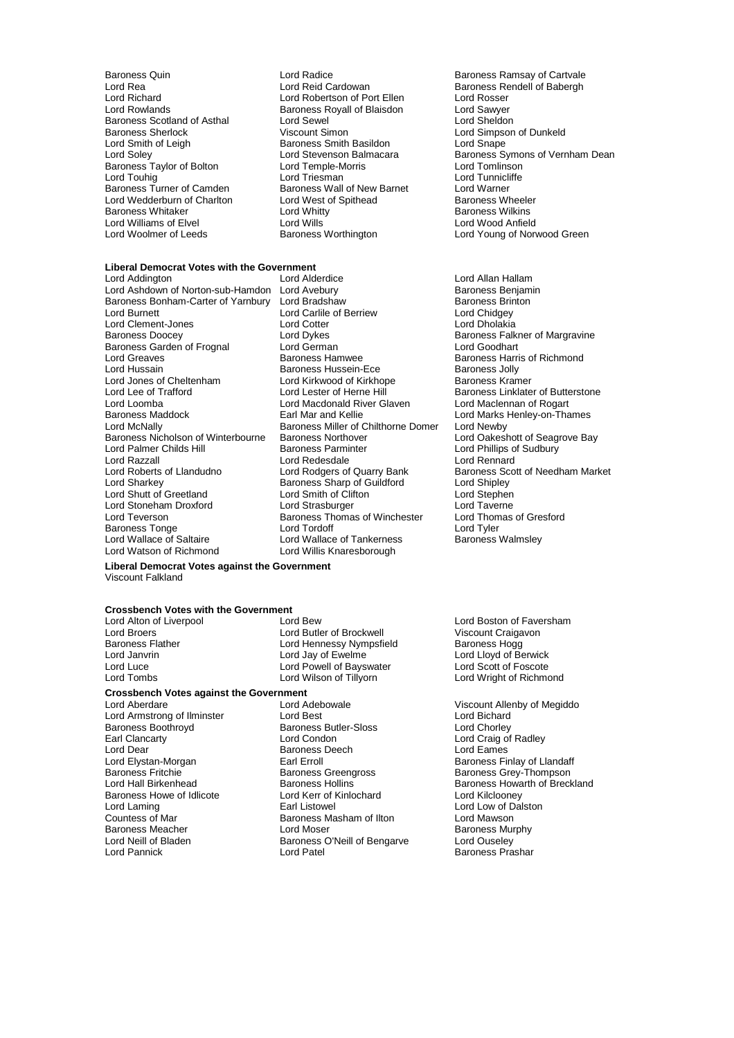- Lord Rea Lord Reid Cardowan Baroness Rendell of Babergh<br>Lord Richard Lord Robertson of Port Ellen Lord Rosser Lord Richard **Lord Robertson of Port Ellen**<br>
Lord Rowlands **Lord Ross Rovall of Blaisdon** Baroness Scotland of Asthal Lord Sewel<br>Baroness Sherlock Cliscount Simon Baroness Sherlock <br>
Lord Smith of Leigh **Baroness Smith Basildon**<br>
Lord Smape Lord Snape Baroness Taylor of Bolton Lord Temple-Morris Lord Tomlinson Lord Touhig Lord Triesman Lord Tunnicliffe Baroness Turner of Camden Baroness Wall of New Barnet Lord Warner Lord Wedderburn of Charlton **Lord West of Spithead** Baroness Wheeler<br>Baroness Whitaker **Lord Whitty** Lord Whitty **Baroness Wilkins** er Baroness Whitaker **Communist Construction Construction**<br>
Lord Williams of Elvel **Communist Construction Communist Communist Construction**<br>
Lord Williams of Elvel **Communist Communist Communist Communist Communist Commun** Lord Williams of Elvel Lord Wills<br>
Lord Woolmer of Leeds
Baroness Worthington Lord Woolmer of Leeds **Baroness Worthington Lord Young of Norwood Green**
- Baroness Quin **Baroness Communist Control** Lord Radice **Baroness Ramsay of Cartvale**<br>
Lord Rea **Baroness Rendell of Babergh**<br>
Lord Reid Cardowan **Baroness Rendell of Babergh** Lord Rowlands Baroness Royall of Blaisdon Lord Sawyer **Baroness Smith Basildon**

#### **Liberal Democrat Votes with the Government**

Lord Ashdown of Norton-sub-Hamdon Lord Avebury **Baroness Benjaming Corress Benjam**<br>Baroness Bonham-Carter of Yarnbury Lord Bradshaw **Baroness Brinton** Baroness Bonham-Carter of Yarnbury Lord Bradshaw<br>Lord Burnett **Baroness Bonham-Carter of Yarning** Lord Carlile of E Lord Clement-Jones Lord Cotter Lord Dholakia Baroness Doocey **Lord Dykes** Lord Dykes Baroness Falkner of Margravine<br>Baroness Garden of Frognal **Baroness Lord German** Baroness Lord Goodhart Baroness Garden of Frognal Lord German<br>Lord Greaves Lord Greaves Lord Greaves<br>
Lord Greaves **Baroness Harris of Richmond Baroness Hamwee** Baroness Harris of Richmond<br>
Lord Hussain Baroness Hussein-Ece Baroness Jolly Lord Hussain Cheltenham Baroness Hussein-Ece Baroness Jolly<br>Lord Jones of Cheltenham Lord Kirkwood of Kirkhope Baroness Kramer Lord Jones of Cheltenham Lord Kirkwood of Kirkhope<br>
Lord Lee of Trafford Lord Lester of Herne Hill Lord Lee of Trafford Lord Lord Lester of Herne Hill Baroness Linklater of Butterstone<br>Lord Lord Macedonald River Glaven Lord Maclennan of Rogart Lord Loomba<br>
Lord Macdonald River Glaven<br>
Lord Macdonald River Glaven<br>
Lord Macdonald River Gart Mac Baroness Maddock **Earl Mar and Kellie Communist Carl Marks Henley-on-Thames**<br>
Lord McNally **Communist Communist Communist Communist Communist Communist Communist Communist Communist Communist** Lord McNally **Baroness Miller of Chilthorne Domer**<br>Baroness Nicholson of Winterbourne **Baroness Northover** Baroness Nicholson of Winterbourne<br>
Baroness Northover Lord Oakeshott of Seagrove Bay<br>
Lord Palmer Childs Hill Baroness Parminter Lord Phillips of Sudbury Lord Palmer Childs Hill **Baroness Parminter** Lord Phillips of Sudbury<br>
Lord Razzall **Lord Reades Lord Redesdale** Lord Rennard Lord Razzall<br>
Lord Roberts of Llandudno<br>
Lord Rodgers of Quarry Bank Lord Sharkey **Baroness Sharp of Guildford** Lord Shipley<br>
Lord Shutt of Greetland Lord Smith of Clifton Lord Stephen Lord Shutt of Greetland Lord Smith of Clifton Lord Stephen Lord Stoneham Droxford Lord Strasburger Lord Taverne Lord Teverson Baroness Thomas of Winchester<br>Baroness Tonge Lord Tordoff Baroness Tonge **Communist Communist Condition**<br>
Lord Wallace of Saltaire Lord Wallace of Tankerness **Communist Communist Communist Communist Communist Communist**<br>
Lord Wallace of Saltaire Lord Wallace of Tankerness **Commun** Lord Wallace of Saltaire **Lord Wallace of Tankerness**<br>
Lord Watson of Richmond Lord Willis Knaresborough

Lord Addington Lord Alderdice Lord Allan Hallam Lord Carlile of Berriew Lord Chidgey Lord Willis Knaresborough

## **Liberal Democrat Votes against the Government** Viscount Falkland

## **Crossbench Votes with the Government**

**Crossbench Votes against the Government** Lord Aberdare **Lord Adebowale** Cord Attenuation Cord Adebowale Viscount Allenby of Megiddo<br>
Lord Armstrong of Ilminster **Lord Best** Lord Bichard Lord Armstrong of Ilminster **Lord Best** Lord Best **Baroness** Butler-Sloss Baroness Boothroyd Baroness Butler-Sloven<br>- Baroness Butler-Sloven<br>- Baroness Lord Condon Lord Dear **Construction Construction Construction**<br>
Lord Elystan-Morgan **Construction Construction Carl E**arl Erroll Christen Baroness Fire Lord Elystan-Morgan **Exric Executes Entity Carl Erroll** Baroness Finlay of Llandaff<br>Baroness Fritchie **Baroness Greengross** Baroness Grey-Thompson Baroness Fritchie **Baroness Greengross** Baroness Grey-Thompson Baroness Howe of Idlicote **Lord Kerr of Kinlochard** Lord Kilclooney<br>
Lord Lord Lord Low of Dal<br>
Lord Low of Dal Lord Laming Earl Listowel Lord Low of Dalston Baroness Meacher **Baroness Meacher Constructs** Lord Moser<br>
Lord Neill of Bladen **Baroness O'Neill of Bengarye** Lord Ouseley Lord Neill of Bladen Baroness O'Neill of Bengarve<br>
Lord Pannick<br>
Lord Patel

Lord Broers The Lord Butler of Brockwell Cord Broers Viscount Craigavon<br>
Lord Hennessy Nympsfield Baroness Hogg<br>
Baroness Hogg Baroness Flather **Exercise Exercise Hennessy Nympsfield**<br>
Lord Janvrin<br>
Lord Jay of Ewelme Lord Luce Lord Powell of Bayswater Cord Scott of Foscote<br>
Lord Tombs Cord Wilson of Tillyorn Cord Wight of Richmond

Baroness Masham of Ilton

Lord Soley **Lord Stevenson Balmacara** Baroness Symons of Vernham Dean<br>Baroness Taylor of Bolton Lord Temple-Morris **Lord Tomlinson** 

Baroness Scott of Needham Market

Lord Alton of Liverpool Lord Bew Lord Bew Lord Boston of Faversham<br>Lord Brockwell Lord Boston of Everpool Lord Butler of Brockwell Viscount Craigavon Lord Lloyd of Berwick Lord Wright of Richmond

Lord Chorley<br>Lord Craig of Radley Lord Hall Birkenhead **Baroness Hollins** Baroness Hollins Baroness Howarth of Breckland Baroness Prashar